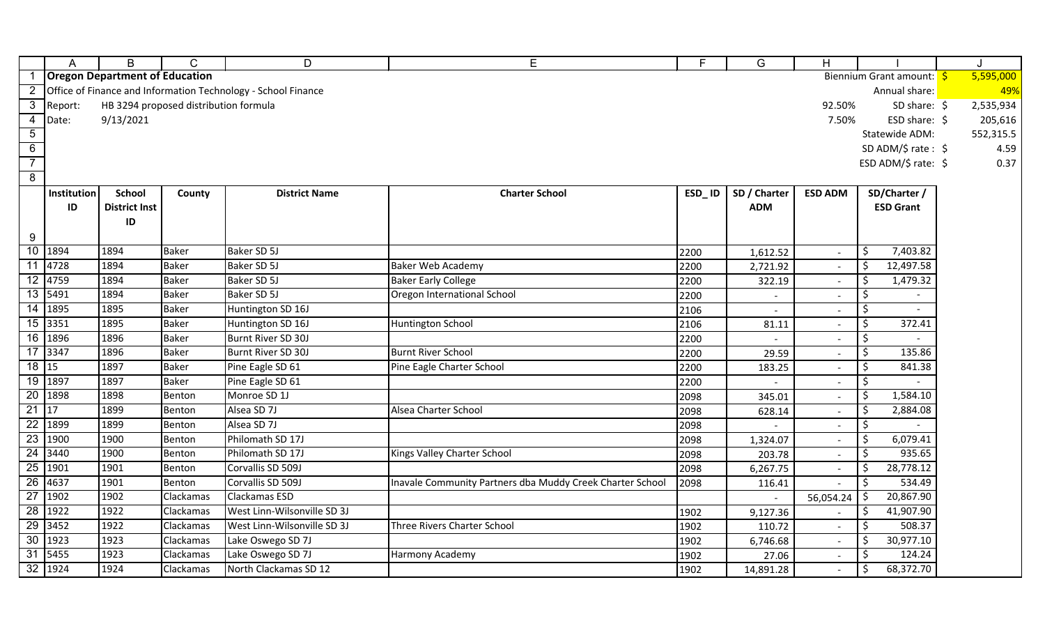|                 | A                    | B                                     | C                                     | D                                                             | Е                                                        | F.     | G                        | H                        |                               |           |
|-----------------|----------------------|---------------------------------------|---------------------------------------|---------------------------------------------------------------|----------------------------------------------------------|--------|--------------------------|--------------------------|-------------------------------|-----------|
|                 |                      | <b>Oregon Department of Education</b> |                                       |                                                               |                                                          |        |                          |                          | Biennium Grant amount: \$     | 5,595,000 |
|                 |                      |                                       |                                       | Office of Finance and Information Technology - School Finance |                                                          |        |                          |                          | Annual share:                 | 49%       |
| $\mathbf{3}$    | Report:              |                                       | HB 3294 proposed distribution formula |                                                               |                                                          |        |                          | 92.50%                   | SD share: $\oint$             | 2,535,934 |
| 4               | Date:                | 9/13/2021                             |                                       |                                                               |                                                          |        |                          | 7.50%                    | ESD share: $\oint$            | 205,616   |
| $5\overline{)}$ |                      |                                       |                                       |                                                               |                                                          |        |                          |                          | Statewide ADM:                | 552,315.5 |
| $6\overline{6}$ |                      |                                       |                                       |                                                               |                                                          |        |                          |                          | SD ADM/\$ rate: $$$           | 4.59      |
| $\overline{7}$  |                      |                                       |                                       |                                                               |                                                          |        |                          |                          | ESD ADM/\$ rate: $$$          | 0.37      |
| $\overline{8}$  |                      |                                       |                                       |                                                               |                                                          |        |                          |                          |                               |           |
|                 | Institution          | <b>School</b>                         | County                                | <b>District Name</b>                                          | <b>Charter School</b>                                    | ESD_ID | SD / Charter             | <b>ESD ADM</b>           | SD/Charter /                  |           |
|                 | ID                   | <b>District Inst</b>                  |                                       |                                                               |                                                          |        | <b>ADM</b>               |                          | <b>ESD Grant</b>              |           |
|                 |                      | ID                                    |                                       |                                                               |                                                          |        |                          |                          |                               |           |
| 9               |                      |                                       |                                       |                                                               |                                                          |        |                          |                          |                               |           |
|                 | 10 1894              | 1894                                  | <b>Baker</b>                          | Baker SD 5J                                                   |                                                          | 2200   | 1,612.52                 | $\overline{\phantom{a}}$ | 7,403.82<br>\$                |           |
|                 | $\overline{11}$ 4728 | 1894                                  | <b>Baker</b>                          | Baker SD 5J                                                   | Baker Web Academy                                        | 2200   | 2,721.92                 |                          | $\ddot{\zeta}$<br>12,497.58   |           |
|                 | 12 4759              | 1894                                  | <b>Baker</b>                          | Baker SD 5J                                                   | <b>Baker Early College</b>                               | 2200   | 322.19                   |                          | 1,479.32<br>\$                |           |
|                 | 13 5491              | 1894                                  | <b>Baker</b>                          | Baker SD 5J                                                   | Oregon International School                              | 2200   | $\overline{\phantom{a}}$ |                          | \$                            |           |
|                 | 14 1895              | 1895                                  | <b>Baker</b>                          | Huntington SD 16J                                             |                                                          | 2106   |                          |                          | \$                            |           |
|                 | 15 3351              | 1895                                  | <b>Baker</b>                          | Huntington SD 16J                                             | Huntington School                                        | 2106   | 81.11                    |                          | \$<br>372.41                  |           |
|                 | 16 1896              | 1896                                  | <b>Baker</b>                          | Burnt River SD 30J                                            |                                                          | 2200   |                          |                          | \$                            |           |
|                 | $\overline{17}$ 3347 | 1896                                  | Baker                                 | Burnt River SD 30J                                            | <b>Burnt River School</b>                                | 2200   | 29.59                    |                          | \$<br>135.86                  |           |
| 18 15           |                      | 1897                                  | <b>Baker</b>                          | Pine Eagle SD 61                                              | Pine Eagle Charter School                                | 2200   | 183.25                   |                          | 841.38                        |           |
|                 | 19 1897              | 1897                                  | <b>Baker</b>                          | Pine Eagle SD 61                                              |                                                          | 2200   |                          |                          | \$                            |           |
|                 | 20 1898              | 1898                                  | Benton                                | Monroe SD 1J                                                  |                                                          | 2098   | 345.01                   |                          | \$<br>1,584.10                |           |
| $21 \mid 17$    |                      | 1899                                  | Benton                                | Alsea SD 7J                                                   | Alsea Charter School                                     | 2098   | 628.14                   |                          | 2,884.08<br>\$                |           |
| 22              | 1899                 | 1899                                  | Benton                                | Alsea SD 7J                                                   |                                                          | 2098   |                          |                          | \$                            |           |
|                 | 23 1900              | 1900                                  | Benton                                | Philomath SD 17J                                              |                                                          | 2098   | 1,324.07                 |                          | \$<br>6,079.41                |           |
|                 | 24 3440              | 1900                                  | Benton                                | Philomath SD 17J                                              | Kings Valley Charter School                              | 2098   | 203.78                   |                          | 935.65                        |           |
|                 | 25 1901              | 1901                                  | Benton                                | Corvallis SD 509J                                             |                                                          | 2098   | 6,267.75                 | $\overline{\phantom{a}}$ | \$<br>28,778.12               |           |
|                 | 26 4637              | 1901                                  | Benton                                | Corvallis SD 509J                                             | Inavale Community Partners dba Muddy Creek Charter Schoo | 2098   | 116.41                   |                          | 534.49                        |           |
|                 | 27 1902              | 1902                                  | Clackamas                             | Clackamas ESD                                                 |                                                          |        |                          | 56,054.24                | 20,867.90<br>\$               |           |
|                 | 28 1922              | 1922                                  | Clackamas                             | West Linn-Wilsonville SD 3J                                   |                                                          | 1902   | 9,127.36                 |                          | 41,907.90<br>\$               |           |
|                 | $\overline{29}$ 3452 | 1922                                  | Clackamas                             | West Linn-Wilsonville SD 3J                                   | Three Rivers Charter School                              | 1902   | 110.72                   |                          | $\ddot{\mathsf{S}}$<br>508.37 |           |
|                 | 30 1923              | 1923                                  | Clackamas                             | Lake Oswego SD 7J                                             |                                                          | 1902   | 6,746.68                 |                          | \$<br>30,977.10               |           |
|                 | 31 5455              | 1923                                  | Clackamas                             | Lake Oswego SD 7J                                             | Harmony Academy                                          | 1902   | 27.06                    |                          | \$<br>124.24                  |           |
|                 | 32 1924              | 1924                                  | Clackamas                             | North Clackamas SD 12                                         |                                                          | 1902   | 14,891.28                |                          | 68,372.70<br>\$               |           |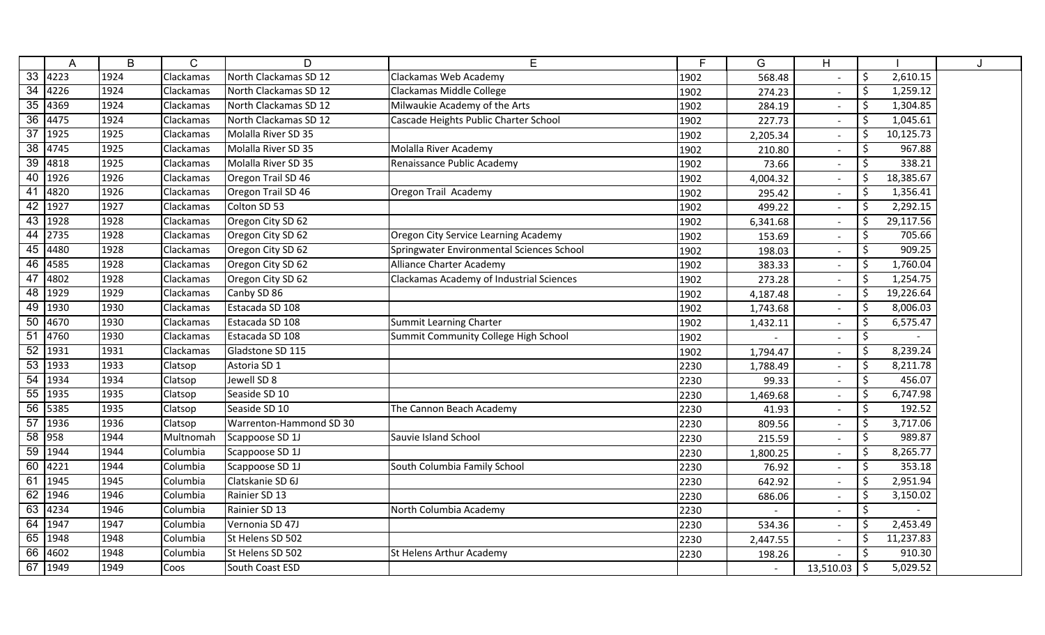|                 | А         | B    | C                | D                       | E                                         | F.   | G                        | H                        |    |           |  |
|-----------------|-----------|------|------------------|-------------------------|-------------------------------------------|------|--------------------------|--------------------------|----|-----------|--|
|                 | 33   4223 | 1924 | Clackamas        | North Clackamas SD 12   | Clackamas Web Academy                     | 1902 | 568.48                   |                          | \$ | 2,610.15  |  |
| $\overline{34}$ | 4226      | 1924 | Clackamas        | North Clackamas SD 12   | Clackamas Middle College                  | 1902 | 274.23                   |                          | \$ | 1,259.12  |  |
| 35              | 4369      | 1924 | Clackamas        | North Clackamas SD 12   | Milwaukie Academy of the Arts             | 1902 | 284.19                   |                          | \$ | 1,304.85  |  |
| 36              | 4475      | 1924 | Clackamas        | North Clackamas SD 12   | Cascade Heights Public Charter School     | 1902 | 227.73                   |                          | .S | 1,045.61  |  |
| $\overline{37}$ | 1925      | 1925 | <b>Clackamas</b> | Molalla River SD 35     |                                           | 1902 | 2,205.34                 | $\blacksquare$           | Ŝ  | 10,125.73 |  |
| $\overline{38}$ | 4745      | 1925 | <b>Clackamas</b> | Molalla River SD 35     | Molalla River Academy                     | 1902 | 210.80                   |                          | \$ | 967.88    |  |
| 39              | 4818      | 1925 | Clackamas        | Molalla River SD 35     | Renaissance Public Academy                | 1902 | 73.66                    |                          |    | 338.21    |  |
| 40              | 1926      | 1926 | Clackamas        | Oregon Trail SD 46      |                                           | 1902 | 4,004.32                 | $\overline{\phantom{a}}$ | \$ | 18,385.67 |  |
| 41              | 4820      | 1926 | Clackamas        | Oregon Trail SD 46      | Oregon Trail Academy                      | 1902 | 295.42                   |                          | \$ | 1,356.41  |  |
| 42              | 1927      | 1927 | <b>Clackamas</b> | Colton SD 53            |                                           | 1902 | 499.22                   | $\blacksquare$           | .S | 2,292.15  |  |
|                 | 43 1928   | 1928 | <b>Clackamas</b> | Oregon City SD 62       |                                           | 1902 | 6,341.68                 |                          | \$ | 29,117.56 |  |
| 44              | 2735      | 1928 | <b>Clackamas</b> | Oregon City SD 62       | Oregon City Service Learning Academy      | 1902 | 153.69                   | $\overline{\phantom{a}}$ | \$ | 705.66    |  |
| 45              | 4480      | 1928 | Clackamas        | Oregon City SD 62       | Springwater Environmental Sciences School | 1902 | 198.03                   | $\overline{\phantom{a}}$ |    | 909.25    |  |
| 46              | 4585      | 1928 | <b>Clackamas</b> | Oregon City SD 62       | Alliance Charter Academy                  | 1902 | 383.33                   |                          | \$ | 1,760.04  |  |
| 47              | 4802      | 1928 | Clackamas        | Oregon City SD 62       | Clackamas Academy of Industrial Sciences  | 1902 | 273.28                   |                          | .S | 1,254.75  |  |
| 48              | 1929      | 1929 | Clackamas        | Canby SD 86             |                                           | 1902 | 4,187.48                 |                          | Ŝ  | 19,226.64 |  |
| 49              | 1930      | 1930 | <b>Clackamas</b> | Estacada SD 108         |                                           | 1902 | 1,743.68                 | $\overline{\phantom{a}}$ | Ŝ  | 8,006.03  |  |
| 50              | 4670      | 1930 | <b>Clackamas</b> | Estacada SD 108         | Summit Learning Charter                   | 1902 | 1,432.11                 | $\overline{\phantom{a}}$ | \$ | 6,575.47  |  |
| 51              | 4760      | 1930 | <b>Clackamas</b> | Estacada SD 108         | Summit Community College High School      | 1902 |                          |                          | \$ |           |  |
| 52              | 1931      | 1931 | Clackamas        | Gladstone SD 115        |                                           | 1902 | 1,794.47                 |                          | \$ | 8,239.24  |  |
| 53              | 1933      | 1933 | Clatsop          | Astoria SD 1            |                                           | 2230 | 1,788.49                 |                          | \$ | 8,211.78  |  |
| 54              | 1934      | 1934 | Clatsop          | Jewell SD 8             |                                           | 2230 | 99.33                    | $\overline{\phantom{a}}$ | Ŝ. | 456.07    |  |
| 55              | 1935      | 1935 | Clatsop          | Seaside SD 10           |                                           | 2230 | 1,469.68                 |                          | \$ | 6,747.98  |  |
| 56              | 5385      | 1935 | Clatsop          | Seaside SD 10           | The Cannon Beach Academy                  | 2230 | 41.93                    | $\overline{\phantom{a}}$ | Š. | 192.52    |  |
| 57              | 1936      | 1936 | Clatsop          | Warrenton-Hammond SD 30 |                                           | 2230 | 809.56                   | $\overline{\phantom{a}}$ | \$ | 3,717.06  |  |
| 58              | 958       | 1944 | Multnomah        | Scappoose SD 1J         | Sauvie Island School                      | 2230 | 215.59                   |                          | \$ | 989.87    |  |
| 59              | 1944      | 1944 | Columbia         | Scappoose SD 1J         |                                           | 2230 | 1,800.25                 |                          | \$ | 8,265.77  |  |
| 60              | 4221      | 1944 | Columbia         | Scappoose SD 1J         | South Columbia Family School              | 2230 | 76.92                    |                          | \$ | 353.18    |  |
| 61              | 1945      | 1945 | Columbia         | Clatskanie SD 6J        |                                           | 2230 | 642.92                   | $\overline{\phantom{a}}$ | .S | 2,951.94  |  |
|                 | 62 1946   | 1946 | Columbia         | Rainier SD 13           |                                           | 2230 | 686.06                   |                          | \$ | 3,150.02  |  |
|                 | 63 4234   | 1946 | Columbia         | Rainier SD 13           | North Columbia Academy                    | 2230 | $\overline{\phantom{a}}$ | $\overline{\phantom{a}}$ | \$ |           |  |
|                 | 64 1947   | 1947 | Columbia         | Vernonia SD 47J         |                                           | 2230 | 534.36                   | $\sim$                   | \$ | 2,453.49  |  |
|                 | 65 1948   | 1948 | Columbia         | St Helens SD 502        |                                           | 2230 | 2,447.55                 |                          | \$ | 11,237.83 |  |
|                 | 66 4602   | 1948 | Columbia         | St Helens SD 502        | St Helens Arthur Academy                  | 2230 | 198.26                   | $\overline{\phantom{a}}$ | \$ | 910.30    |  |
|                 | $67$ 1949 | 1949 | Coos             | South Coast ESD         |                                           |      |                          | 13,510.03                | \$ | 5,029.52  |  |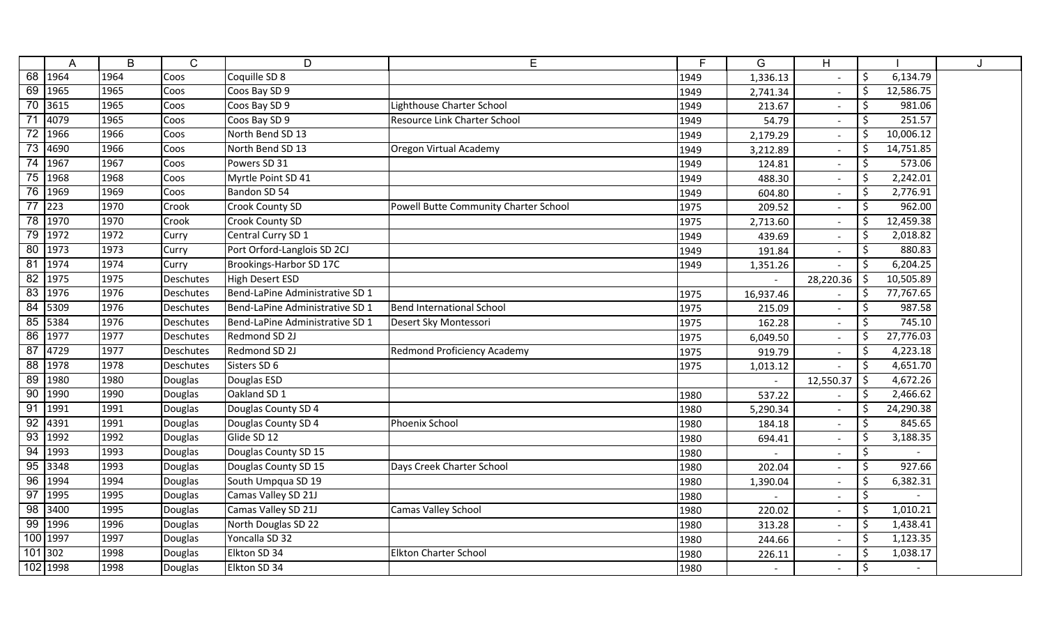|                 | A                  | B    | $\mathsf{C}$ | D                               | E                                     | E    | G         | H                        |         |           | J |
|-----------------|--------------------|------|--------------|---------------------------------|---------------------------------------|------|-----------|--------------------------|---------|-----------|---|
|                 | 68 1964            | 1964 | Coos         | Coquille SD 8                   |                                       | 1949 | 1,336.13  |                          | $\zeta$ | 6,134.79  |   |
|                 | 69 1965            | 1965 | Coos         | Coos Bay SD 9                   |                                       | 1949 | 2,741.34  |                          | \$      | 12,586.75 |   |
| 70              | 3615               | 1965 | Coos         | Coos Bay SD 9                   | Lighthouse Charter School             | 1949 | 213.67    | $\overline{\phantom{a}}$ | \$      | 981.06    |   |
|                 | 4079               | 1965 | Coos         | Coos Bay SD 9                   | <b>Resource Link Charter School</b>   | 1949 | 54.79     | $\overline{\phantom{a}}$ | $\zeta$ | 251.57    |   |
| 72              | 1966               | 1966 | Coos         | North Bend SD 13                |                                       | 1949 | 2,179.29  | $\overline{\phantom{a}}$ | \$      | 10,006.12 |   |
| 73              | 4690               | 1966 | Coos         | North Bend SD 13                | <b>Oregon Virtual Academy</b>         | 1949 | 3,212.89  | $\blacksquare$           | \$      | 14,751.85 |   |
| 74              | 1967               | 1967 | Coos         | Powers SD 31                    |                                       | 1949 | 124.81    | $\overline{\phantom{a}}$ | $\zeta$ | 573.06    |   |
| 75              | 1968               | 1968 | Coos         | Myrtle Point SD 41              |                                       | 1949 | 488.30    | $\sim$                   | $\zeta$ | 2,242.01  |   |
| $\overline{76}$ | 1969               | 1969 | Coos         | Bandon SD 54                    |                                       | 1949 | 604.80    | $\blacksquare$           | $\zeta$ | 2,776.91  |   |
|                 | $\frac{1}{77}$ 223 | 1970 | Crook        | <b>Crook County SD</b>          | Powell Butte Community Charter School | 1975 | 209.52    |                          | $\zeta$ | 962.00    |   |
|                 | 78 1970            | 1970 | Crook        | <b>Crook County SD</b>          |                                       | 1975 | 2,713.60  | $\overline{\phantom{a}}$ | \$      | 12,459.38 |   |
|                 | 79 1972            | 1972 | Curry        | Central Curry SD 1              |                                       | 1949 | 439.69    |                          | \$      | 2,018.82  |   |
|                 | 80 1973            | 1973 | Curry        | Port Orford-Langlois SD 2CJ     |                                       | 1949 | 191.84    |                          | \$      | 880.83    |   |
|                 | 81 1974            | 1974 | Curry        | Brookings-Harbor SD 17C         |                                       | 1949 | 1,351.26  |                          | \$      | 6,204.25  |   |
|                 | 82 1975            | 1975 | Deschutes    | High Desert ESD                 |                                       |      |           | 28,220.36                | \$      | 10,505.89 |   |
| 83              | 1976               | 1976 | Deschutes    | Bend-LaPine Administrative SD 1 |                                       | 1975 | 16,937.46 |                          | \$      | 77,767.65 |   |
| 84              | 5309               | 1976 | Deschutes    | Bend-LaPine Administrative SD 1 | <b>Bend International School</b>      | 1975 | 215.09    | $\overline{\phantom{a}}$ | \$      | 987.58    |   |
|                 | 85 5384            | 1976 | Deschutes    | Bend-LaPine Administrative SD 1 | Desert Sky Montessori                 | 1975 | 162.28    |                          | Š.      | 745.10    |   |
|                 | 86 1977            | 1977 | Deschutes    | Redmond SD 2J                   |                                       | 1975 | 6,049.50  | $\blacksquare$           | \$      | 27,776.03 |   |
| 87              | 4729               | 1977 | Deschutes    | Redmond SD 2J                   | <b>Redmond Proficiency Academy</b>    | 1975 | 919.79    | $\blacksquare$           | \$      | 4,223.18  |   |
| 88              | 1978               | 1978 | Deschutes    | Sisters SD 6                    |                                       | 1975 | 1,013.12  |                          | $\zeta$ | 4,651.70  |   |
| 89              | 1980               | 1980 | Douglas      | Douglas ESD                     |                                       |      |           | 12,550.37                | $\zeta$ | 4,672.26  |   |
| 90              | 1990               | 1990 | Douglas      | Oakland SD 1                    |                                       | 1980 | 537.22    |                          | $\zeta$ | 2,466.62  |   |
|                 | 91 1991            | 1991 | Douglas      | Douglas County SD 4             |                                       | 1980 | 5,290.34  | $\mathbf{r}$             | \$      | 24,290.38 |   |
|                 | 92 4391            | 1991 | Douglas      | Douglas County SD 4             | Phoenix School                        | 1980 | 184.18    | $\blacksquare$           | \$      | 845.65    |   |
|                 | 93 1992            | 1992 | Douglas      | Glide SD 12                     |                                       | 1980 | 694.41    |                          | \$      | 3,188.35  |   |
| 94              | 1993               | 1993 | Douglas      | Douglas County SD 15            |                                       | 1980 |           | $\overline{\phantom{a}}$ | $\zeta$ |           |   |
|                 | 95 3348            | 1993 | Douglas      | Douglas County SD 15            | Days Creek Charter School             | 1980 | 202.04    |                          | $\zeta$ | 927.66    |   |
| 96              | 1994               | 1994 | Douglas      | South Umpqua SD 19              |                                       | 1980 | 1,390.04  | $\blacksquare$           | \$      | 6,382.31  |   |
| 97              | 1995               | 1995 | Douglas      | Camas Valley SD 21J             |                                       | 1980 |           |                          | \$      |           |   |
| 98              | 3400               | 1995 | Douglas      | Camas Valley SD 21J             | Camas Valley School                   | 1980 | 220.02    | $\overline{\phantom{a}}$ | \$      | 1,010.21  |   |
|                 | 99 1996            | 1996 | Douglas      | North Douglas SD 22             |                                       | 1980 | 313.28    | $\overline{\phantom{a}}$ | \$      | 1,438.41  |   |
|                 | 100 1997           | 1997 | Douglas      | Yoncalla SD 32                  |                                       | 1980 | 244.66    | $\overline{\phantom{a}}$ | \$      | 1,123.35  |   |
| $101$ 302       |                    | 1998 | Douglas      | Elkton SD 34                    | <b>Elkton Charter School</b>          | 1980 | 226.11    | $\overline{\phantom{0}}$ | \$      | 1,038.17  |   |
|                 | 102 1998           | 1998 | Douglas      | Elkton SD 34                    |                                       | 1980 |           |                          | \$      |           |   |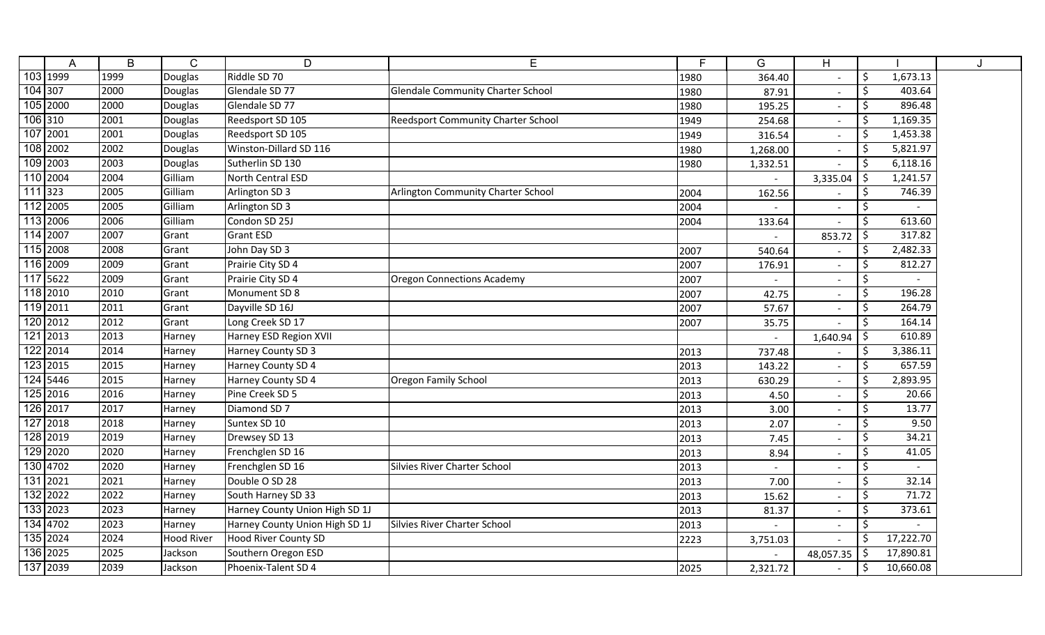|           | A        | B    | $\mathsf{C}$      | D                              | E                                         | E.   | G        | H                        |         |           | J |
|-----------|----------|------|-------------------|--------------------------------|-------------------------------------------|------|----------|--------------------------|---------|-----------|---|
|           | 103 1999 | 1999 | Douglas           | Riddle SD 70                   |                                           | 1980 | 364.40   |                          | $\zeta$ | 1,673.13  |   |
| 104 307   |          | 2000 | Douglas           | Glendale SD 77                 | <b>Glendale Community Charter School</b>  | 1980 | 87.91    |                          | $\zeta$ | 403.64    |   |
|           | 105 2000 | 2000 | Douglas           | Glendale SD 77                 |                                           | 1980 | 195.25   | $\overline{\phantom{a}}$ | \$      | 896.48    |   |
| 106 310   |          | 2001 | Douglas           | Reedsport SD 105               | <b>Reedsport Community Charter School</b> | 1949 | 254.68   | $\overline{\phantom{a}}$ | \$      | 1,169.35  |   |
|           | 107 2001 | 2001 | Douglas           | Reedsport SD 105               |                                           | 1949 | 316.54   | $\overline{\phantom{a}}$ | \$      | 1,453.38  |   |
|           | 108 2002 | 2002 | Douglas           | Winston-Dillard SD 116         |                                           | 1980 | 1,268.00 | $\blacksquare$           | \$      | 5,821.97  |   |
|           | 109 2003 | 2003 | Douglas           | Sutherlin SD 130               |                                           | 1980 | 1,332.51 | $\blacksquare$           | \$      | 6,118.16  |   |
|           | 110 2004 | 2004 | Gilliam           | North Central ESD              |                                           |      |          | 3,335.04                 | \$      | 1,241.57  |   |
| $111$ 323 |          | 2005 | Gilliam           | Arlington SD 3                 | Arlington Community Charter School        | 2004 | 162.56   |                          | $\zeta$ | 746.39    |   |
|           | 112 2005 | 2005 | Gilliam           | Arlington SD 3                 |                                           | 2004 |          |                          | $\zeta$ |           |   |
|           | 113 2006 | 2006 | Gilliam           | Condon SD 25J                  |                                           | 2004 | 133.64   |                          | \$      | 613.60    |   |
|           | 114 2007 | 2007 | Grant             | <b>Grant ESD</b>               |                                           |      |          | 853.72                   | -\$     | 317.82    |   |
|           | 115 2008 | 2008 | Grant             | John Day SD 3                  |                                           | 2007 | 540.64   |                          | \$      | 2,482.33  |   |
|           | 116 2009 | 2009 | Grant             | Prairie City SD 4              |                                           | 2007 | 176.91   |                          | $\zeta$ | 812.27    |   |
|           | 117 5622 | 2009 | Grant             | Prairie City SD 4              | <b>Oregon Connections Academy</b>         | 2007 |          |                          | \$      |           |   |
|           | 118 2010 | 2010 | Grant             | Monument SD 8                  |                                           | 2007 | 42.75    |                          | \$      | 196.28    |   |
|           | 119 2011 | 2011 | Grant             | Dayville SD 16J                |                                           | 2007 | 57.67    |                          | \$      | 264.79    |   |
|           | 120 2012 | 2012 | Grant             | Long Creek SD 17               |                                           | 2007 | 35.75    | $\overline{\phantom{a}}$ | $\zeta$ | 164.14    |   |
|           | 121 2013 | 2013 | Harney            | Harney ESD Region XVII         |                                           |      |          | 1,640.94                 | \$      | 610.89    |   |
|           | 122 2014 | 2014 | Harney            | Harney County SD 3             |                                           | 2013 | 737.48   |                          | \$      | 3,386.11  |   |
|           | 123 2015 | 2015 | Harney            | Harney County SD 4             |                                           | 2013 | 143.22   | $\blacksquare$           | Š.      | 657.59    |   |
|           | 124 5446 | 2015 | Harney            | Harney County SD 4             | Oregon Family School                      | 2013 | 630.29   | $\overline{\phantom{a}}$ | \$      | 2,893.95  |   |
|           | 125 2016 | 2016 | Harney            | Pine Creek SD 5                |                                           | 2013 | 4.50     | $\blacksquare$           | \$      | 20.66     |   |
|           | 126 2017 | 2017 | Harney            | Diamond SD 7                   |                                           | 2013 | 3.00     | $\sim$                   | \$      | 13.77     |   |
|           | 127 2018 | 2018 | Harney            | Suntex SD 10                   |                                           | 2013 | 2.07     | $\blacksquare$           | $\zeta$ | 9.50      |   |
|           | 128 2019 | 2019 | Harney            | Drewsey SD 13                  |                                           | 2013 | 7.45     | $\overline{\phantom{a}}$ | \$      | 34.21     |   |
|           | 129 2020 | 2020 | Harney            | Frenchglen SD 16               |                                           | 2013 | 8.94     | $\blacksquare$           | \$      | 41.05     |   |
|           | 130 4702 | 2020 | Harney            | Frenchglen SD 16               | <b>Silvies River Charter School</b>       | 2013 |          |                          | $\zeta$ |           |   |
|           | 131 2021 | 2021 | Harney            | Double O SD 28                 |                                           | 2013 | 7.00     |                          | $\zeta$ | 32.14     |   |
|           | 132 2022 | 2022 | Harney            | South Harney SD 33             |                                           | 2013 | 15.62    |                          | \$      | 71.72     |   |
|           | 133 2023 | 2023 | Harney            | Harney County Union High SD 1J |                                           | 2013 | 81.37    | $\sim$                   | $\zeta$ | 373.61    |   |
|           | 134 4702 | 2023 | Harney            | Harney County Union High SD 1J | Silvies River Charter School              | 2013 |          |                          | \$      |           |   |
|           | 135 2024 | 2024 | <b>Hood River</b> | <b>Hood River County SD</b>    |                                           | 2223 | 3,751.03 |                          | Ŝ.      | 17,222.70 |   |
|           | 136 2025 | 2025 | Jackson           | Southern Oregon ESD            |                                           |      |          | 48,057.35                | \$      | 17,890.81 |   |
|           | 137 2039 | 2039 | Jackson           | Phoenix-Talent SD 4            |                                           | 2025 | 2,321.72 | $\blacksquare$           | \$      | 10,660.08 |   |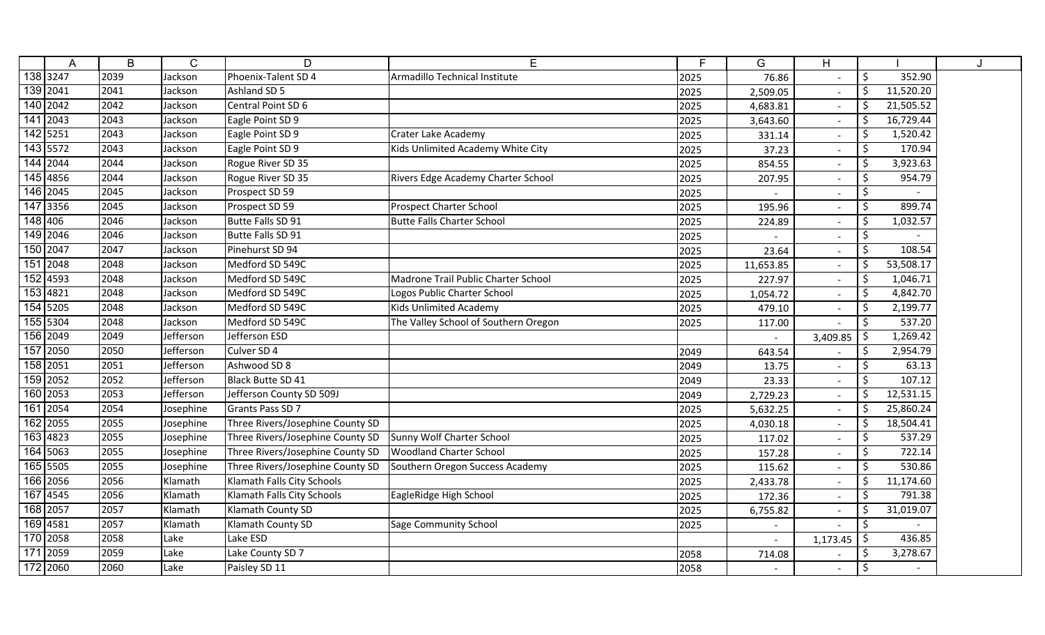|          | A        | B    | $\mathsf{C}$ | D                                | E                                    | F    | G                        | H                        |                      |  |
|----------|----------|------|--------------|----------------------------------|--------------------------------------|------|--------------------------|--------------------------|----------------------|--|
|          | 138 3247 | 2039 | Jackson      | Phoenix-Talent SD 4              | Armadillo Technical Institute        | 2025 | 76.86                    |                          | \$<br>352.90         |  |
|          | 139 2041 | 2041 | Jackson      | Ashland SD 5                     |                                      | 2025 | 2,509.05                 |                          | Ś.<br>11,520.20      |  |
|          | 140 2042 | 2042 | Jackson      | Central Point SD 6               |                                      | 2025 | 4,683.81                 |                          | \$<br>21,505.52      |  |
|          | 141 2043 | 2043 | Jackson      | Eagle Point SD 9                 |                                      | 2025 | 3,643.60                 | $\sim$                   | 16,729.44<br>\$      |  |
|          | 142 5251 | 2043 | Jackson      | Eagle Point SD 9                 | Crater Lake Academy                  | 2025 | 331.14                   | $\overline{\phantom{a}}$ | 1,520.42<br>\$       |  |
|          | 143 5572 | 2043 | Jackson      | Eagle Point SD 9                 | Kids Unlimited Academy White City    | 2025 | 37.23                    | $\overline{\phantom{a}}$ | 170.94<br>Ŝ.         |  |
|          | 144 2044 | 2044 | Jackson      | Rogue River SD 35                |                                      | 2025 | 854.55                   | $\overline{\phantom{a}}$ | 3,923.63<br>\$       |  |
|          | 145 4856 | 2044 | Jackson      | Rogue River SD 35                | Rivers Edge Academy Charter School   | 2025 | 207.95                   |                          | \$<br>954.79         |  |
|          | 146 2045 | 2045 | Jackson      | Prospect SD 59                   |                                      | 2025 |                          |                          | \$                   |  |
|          | 147 3356 | 2045 | Jackson      | Prospect SD 59                   | <b>Prospect Charter School</b>       | 2025 | 195.96                   |                          | $\zeta$<br>899.74    |  |
| 148 406  |          | 2046 | Jackson      | Butte Falls SD 91                | <b>Butte Falls Charter School</b>    | 2025 | 224.89                   | $\sim$                   | 1,032.57<br>\$       |  |
|          | 149 2046 | 2046 | Jackson      | Butte Falls SD 91                |                                      | 2025 |                          | $\overline{a}$           | \$                   |  |
| 150 2047 |          | 2047 | Jackson      | Pinehurst SD 94                  |                                      | 2025 | 23.64                    |                          | Ś.<br>108.54         |  |
|          | 151 2048 | 2048 | Jackson      | Medford SD 549C                  |                                      | 2025 | 11,653.85                |                          | Ś.<br>53,508.17      |  |
|          | 152 4593 | 2048 | Jackson      | Medford SD 549C                  | Madrone Trail Public Charter School  | 2025 | 227.97                   |                          | \$<br>1,046.71       |  |
|          | 153 4821 | 2048 | Jackson      | Medford SD 549C                  | Logos Public Charter School          | 2025 | 1,054.72                 |                          | \$<br>4,842.70       |  |
|          | 154 5205 | 2048 | Jackson      | Medford SD 549C                  | <b>Kids Unlimited Academy</b>        | 2025 | 479.10                   |                          | \$<br>2,199.77       |  |
|          | 155 5304 | 2048 | Jackson      | Medford SD 549C                  | The Valley School of Southern Oregon | 2025 | 117.00                   |                          | 537.20<br>\$         |  |
|          | 156 2049 | 2049 | Jefferson    | Jefferson ESD                    |                                      |      | $\overline{\phantom{a}}$ | 3,409.85                 | \$<br>1,269.42       |  |
|          | 157 2050 | 2050 | Jefferson    | Culver SD 4                      |                                      | 2049 | 643.54                   |                          | \$<br>2,954.79       |  |
|          | 158 2051 | 2051 | Jefferson    | Ashwood SD 8                     |                                      | 2049 | 13.75                    | $\overline{\phantom{a}}$ | 63.13<br>\$          |  |
|          | 159 2052 | 2052 | Jefferson    | Black Butte SD 41                |                                      | 2049 | 23.33                    | $\overline{\phantom{0}}$ | $\zeta$<br>107.12    |  |
|          | 160 2053 | 2053 | Jefferson    | Jefferson County SD 509J         |                                      | 2049 | 2,729.23                 | $\sim$                   | $\zeta$<br>12,531.15 |  |
|          | 161 2054 | 2054 | Josephine    | Grants Pass SD 7                 |                                      | 2025 | 5,632.25                 | $\sim$                   | 25,860.24<br>\$      |  |
|          | 162 2055 | 2055 | Josephine    | Three Rivers/Josephine County SD |                                      | 2025 | 4,030.18                 | $\sim$                   | \$<br>18,504.41      |  |
|          | 163 4823 | 2055 | Josephine    | Three Rivers/Josephine County SD | Sunny Wolf Charter School            | 2025 | 117.02                   | $\overline{\phantom{0}}$ | \$<br>537.29         |  |
|          | 164 5063 | 2055 | Josephine    | Three Rivers/Josephine County SD | <b>Woodland Charter School</b>       | 2025 | 157.28                   |                          | \$<br>722.14         |  |
|          | 165 5505 | 2055 | Josephine    | Three Rivers/Josephine County SD | Southern Oregon Success Academy      | 2025 | 115.62                   |                          | 530.86<br>\$         |  |
|          | 166 2056 | 2056 | Klamath      | Klamath Falls City Schools       |                                      | 2025 | 2,433.78                 |                          | 11,174.60<br>\$      |  |
|          | 167 4545 | 2056 | Klamath      | Klamath Falls City Schools       | EagleRidge High School               | 2025 | 172.36                   |                          | \$<br>791.38         |  |
|          | 168 2057 | 2057 | Klamath      | Klamath County SD                |                                      | 2025 | 6,755.82                 | $\overline{\phantom{a}}$ | 31,019.07            |  |
|          | 169 4581 | 2057 | Klamath      | <b>Klamath County SD</b>         | Sage Community School                | 2025 | $\overline{\phantom{a}}$ |                          | \$                   |  |
|          | 170 2058 | 2058 | Lake         | Lake ESD                         |                                      |      | $\overline{\phantom{a}}$ | 1,173.45                 | 436.85<br>Ŝ.         |  |
|          | 171 2059 | 2059 | Lake         | Lake County SD 7                 |                                      | 2058 | 714.08                   |                          | \$<br>3,278.67       |  |
|          | 172 2060 | 2060 | Lake         | Paisley SD 11                    |                                      | 2058 | $\blacksquare$           |                          | \$                   |  |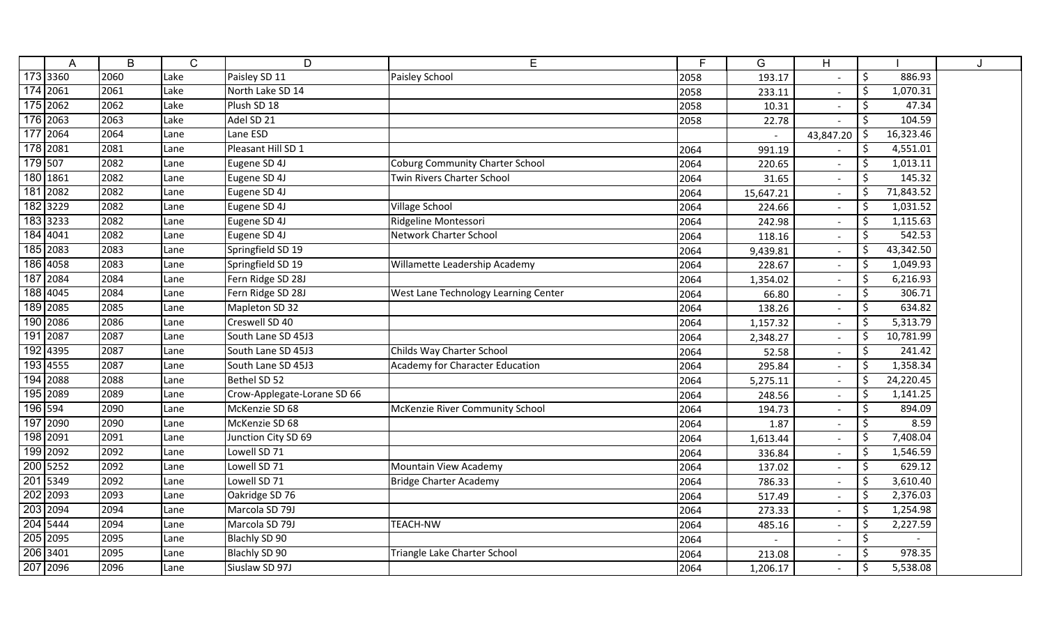|         | A                      | B    | $\mathsf{C}$ | D                           | Е                                      | F.   | G         | H                        |              |           | J |
|---------|------------------------|------|--------------|-----------------------------|----------------------------------------|------|-----------|--------------------------|--------------|-----------|---|
|         | 173 3360               | 2060 | Lake         | Paisley SD 11               | Paisley School                         | 2058 | 193.17    |                          | \$           | 886.93    |   |
|         | 174 2061               | 2061 | Lake         | North Lake SD 14            |                                        | 2058 | 233.11    |                          | \$           | 1,070.31  |   |
|         | 175 2062               | 2062 | Lake         | Plush SD 18                 |                                        | 2058 | 10.31     |                          | \$           | 47.34     |   |
|         | 176 2063               | 2063 | Lake         | Adel SD 21                  |                                        | 2058 | 22.78     |                          | \$           | 104.59    |   |
|         | 177 2064               | 2064 | Lane         | Lane ESD                    |                                        |      |           | 43,847.20                | \$           | 16,323.46 |   |
|         | 178 2081               | 2081 | Lane         | Pleasant Hill SD 1          |                                        | 2064 | 991.19    |                          | Ŝ.           | 4,551.01  |   |
| 179 507 |                        | 2082 | Lane         | Eugene SD 4J                | <b>Coburg Community Charter School</b> | 2064 | 220.65    | $\blacksquare$           | \$           | 1,013.11  |   |
|         | 180 1861               | 2082 | Lane         | Eugene SD 4J                | <b>Twin Rivers Charter School</b>      | 2064 | 31.65     | $\blacksquare$           | Š.           | 145.32    |   |
|         | 181 2082               | 2082 | Lane         | Eugene SD 4J                |                                        | 2064 | 15,647.21 | $\sim$                   | \$           | 71,843.52 |   |
|         | 182 3229               | 2082 | Lane         | Eugene SD 4J                | <b>Village School</b>                  | 2064 | 224.66    | $\blacksquare$           | $\zeta$      | 1,031.52  |   |
|         | 183 3233               | 2082 | Lane         | Eugene SD 4J                | Ridgeline Montessori                   | 2064 | 242.98    | $\overline{\phantom{a}}$ | \$           | 1,115.63  |   |
|         | 184 4041               | 2082 | Lane         | Eugene SD 4J                | <b>Network Charter School</b>          | 2064 | 118.16    | $\blacksquare$           | \$           | 542.53    |   |
|         | 185 2083               | 2083 | Lane         | Springfield SD 19           |                                        | 2064 | 9,439.81  | $\overline{\phantom{a}}$ | \$           | 43,342.50 |   |
|         | 186 4058               | 2083 | Lane         | Springfield SD 19           | Willamette Leadership Academy          | 2064 | 228.67    |                          | \$           | 1,049.93  |   |
|         | 187 2084               | 2084 | Lane         | Fern Ridge SD 28J           |                                        | 2064 | 1,354.02  | $\overline{\phantom{0}}$ | \$           | 6,216.93  |   |
|         | 188 4045               | 2084 | Lane         | Fern Ridge SD 28J           | West Lane Technology Learning Center   | 2064 | 66.80     |                          | \$           | 306.71    |   |
|         | 189 2085               | 2085 | Lane         | Mapleton SD 32              |                                        | 2064 | 138.26    |                          | \$           | 634.82    |   |
|         | 190 2086               | 2086 | Lane         | Creswell SD 40              |                                        | 2064 | 1,157.32  | $\overline{\phantom{a}}$ | \$           | 5,313.79  |   |
|         | 191 2087               | 2087 | Lane         | South Lane SD 45J3          |                                        | 2064 | 2,348.27  | $\overline{\phantom{a}}$ | \$           | 10,781.99 |   |
|         | 192 4395               | 2087 | Lane         | South Lane SD 45J3          | Childs Way Charter School              | 2064 | 52.58     | $\overline{\phantom{a}}$ | \$           | 241.42    |   |
|         | 193 4555               | 2087 | Lane         | South Lane SD 45J3          | <b>Academy for Character Education</b> | 2064 | 295.84    | $\blacksquare$           | \$           | 1,358.34  |   |
|         | 194 2088               | 2088 | Lane         | Bethel SD 52                |                                        | 2064 | 5,275.11  | $\blacksquare$           | $\zeta$      | 24,220.45 |   |
|         | 195 2089               | 2089 | Lane         | Crow-Applegate-Lorane SD 66 |                                        | 2064 | 248.56    | $\blacksquare$           | $\zeta$      | 1,141.25  |   |
| 196 594 |                        | 2090 | Lane         | McKenzie SD 68              | McKenzie River Community School        | 2064 | 194.73    | $\overline{\phantom{a}}$ | \$           | 894.09    |   |
|         | 197 2090               | 2090 | Lane         | McKenzie SD 68              |                                        | 2064 | 1.87      | $\mathbf{r}$             | \$           | 8.59      |   |
|         | 198 2091               | 2091 | Lane         | Junction City SD 69         |                                        | 2064 | 1,613.44  | $\blacksquare$           | \$           | 7,408.04  |   |
|         | 199 2092               | 2092 | Lane         | Lowell SD 71                |                                        | 2064 | 336.84    | $\blacksquare$           | \$           | 1,546.59  |   |
|         | 200 5252               | 2092 | Lane         | Lowell SD 71                | Mountain View Academy                  | 2064 | 137.02    | $\overline{\phantom{a}}$ | \$           | 629.12    |   |
|         | 201 5349               | 2092 | Lane         | Lowell SD 71                | <b>Bridge Charter Academy</b>          | 2064 | 786.33    |                          | \$           | 3,610.40  |   |
|         | 202 2093               | 2093 | Lane         | Oakridge SD 76              |                                        | 2064 | 517.49    |                          | \$           | 2,376.03  |   |
|         | 203 2094               | 2094 | Lane         | Marcola SD 79J              |                                        | 2064 | 273.33    |                          | \$           | 1,254.98  |   |
|         | $204 \overline{)5444}$ | 2094 | Lane         | Marcola SD 79J              | <b>TEACH-NW</b>                        | 2064 | 485.16    | $\overline{\phantom{a}}$ | \$           | 2,227.59  |   |
|         | 205 2095               | 2095 | Lane         | Blachly SD 90               |                                        | 2064 |           | $\overline{\phantom{a}}$ | \$           |           |   |
|         | 206 3401               | 2095 | Lane         | Blachly SD 90               | Triangle Lake Charter School           | 2064 | 213.08    | $\overline{\phantom{a}}$ | <sup>S</sup> | 978.35    |   |
|         | 207 2096               | 2096 | Lane         | Siuslaw SD 97J              |                                        | 2064 | 1,206.17  | $\blacksquare$           | \$           | 5,538.08  |   |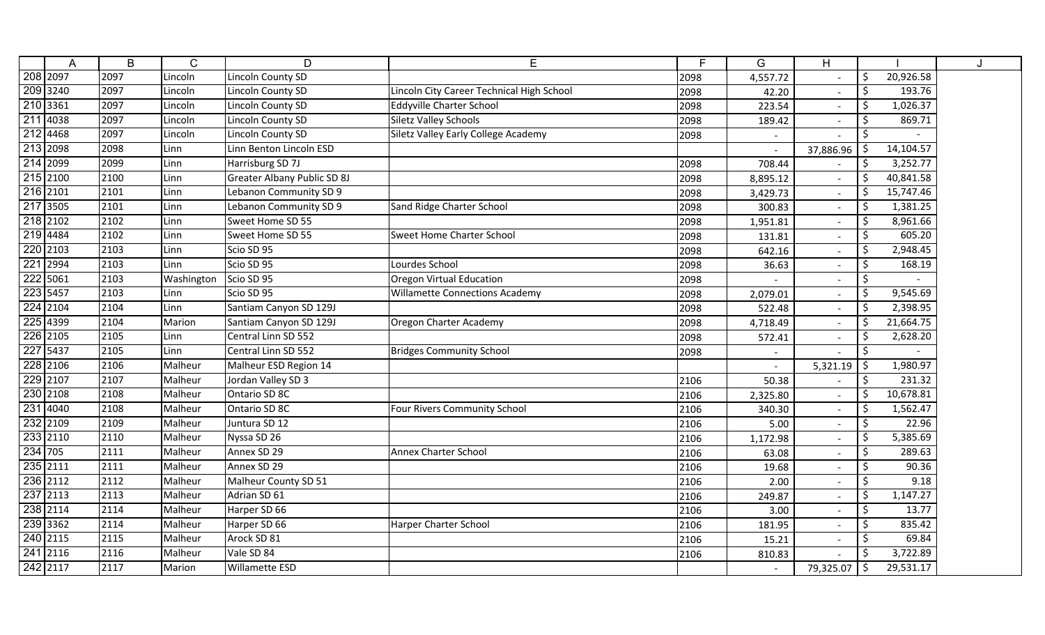|          | A        | B    | $\mathsf{C}$ | D                                  | E                                         | F.   | G              | H                        |                     |        |  |
|----------|----------|------|--------------|------------------------------------|-------------------------------------------|------|----------------|--------------------------|---------------------|--------|--|
|          | 208 2097 | 2097 | Lincoln      | Lincoln County SD                  |                                           | 2098 | 4,557.72       |                          | \$<br>20,926.58     |        |  |
|          | 209 3240 | 2097 | Lincoln      | Lincoln County SD                  | Lincoln City Career Technical High School | 2098 | 42.20          |                          | \$<br>193.76        |        |  |
| 210 3361 |          | 2097 | Lincoln      | Lincoln County SD                  | Eddyville Charter School                  | 2098 | 223.54         | $\overline{\phantom{a}}$ | 1,026.37<br>\$      |        |  |
|          | 211 4038 | 2097 | Lincoln      | Lincoln County SD                  | <b>Siletz Valley Schools</b>              | 2098 | 189.42         | $\overline{\phantom{a}}$ | Š.<br>869.71        |        |  |
|          | 212 4468 | 2097 | Lincoln      | Lincoln County SD                  | Siletz Valley Early College Academy       | 2098 |                |                          | Ŝ.                  |        |  |
|          | 213 2098 | 2098 | Linn         | Linn Benton Lincoln ESD            |                                           |      | $\overline{a}$ | 37,886.96                | 14,104.57<br>\$     |        |  |
| 214 2099 |          | 2099 | Linn         | Harrisburg SD 7J                   |                                           | 2098 | 708.44         |                          | Ŝ.<br>3,252.77      |        |  |
| 215 2100 |          | 2100 | Linn         | <b>Greater Albany Public SD 8J</b> |                                           | 2098 | 8,895.12       | $\blacksquare$           | Ŝ.<br>40,841.58     |        |  |
| 216 2101 |          | 2101 | Linn         | Lebanon Community SD 9             |                                           | 2098 | 3,429.73       | $\mathbf{r}$             | \$<br>15,747.46     |        |  |
| 217 3505 |          | 2101 | Linn         | Lebanon Community SD 9             | Sand Ridge Charter School                 | 2098 | 300.83         | $\sim$                   | \$<br>1,381.25      |        |  |
|          | 218 2102 | 2102 | Linn         | Sweet Home SD 55                   |                                           | 2098 | 1,951.81       | $\overline{\phantom{0}}$ | 8,961.66<br>\$      |        |  |
| 219 4484 |          | 2102 | Linn         | Sweet Home SD 55                   | <b>Sweet Home Charter School</b>          | 2098 | 131.81         | $\overline{\phantom{a}}$ | \$<br>605.20        |        |  |
| 220 2103 |          | 2103 | Linn         | Scio SD 95                         |                                           | 2098 | 642.16         | $\overline{\phantom{a}}$ | 2,948.45<br>\$      |        |  |
| 221 2994 |          | 2103 | Linn         | Scio SD 95                         | Lourdes School                            | 2098 | 36.63          |                          | \$<br>168.19        |        |  |
|          | 222 5061 | 2103 | Washington   | Scio SD 95                         | Oregon Virtual Education                  | 2098 |                |                          | $\zeta$             |        |  |
|          | 223 5457 | 2103 | Linn         | Scio SD 95                         | <b>Willamette Connections Academy</b>     | 2098 | 2,079.01       |                          | \$<br>9,545.69      |        |  |
| 224 2104 |          | 2104 | Linn         | Santiam Canyon SD 129J             |                                           | 2098 | 522.48         | $\overline{\phantom{a}}$ | \$<br>2,398.95      |        |  |
|          | 225 4399 | 2104 | Marion       | Santiam Canyon SD 129J             | Oregon Charter Academy                    | 2098 | 4,718.49       | $\overline{\phantom{a}}$ | 21,664.75<br>Š.     |        |  |
|          | 226 2105 | 2105 | Linn         | Central Linn SD 552                |                                           | 2098 | 572.41         | $\overline{\phantom{a}}$ | \$<br>2,628.20      |        |  |
| 227 5437 |          | 2105 | Linn         | Central Linn SD 552                | <b>Bridges Community School</b>           | 2098 |                | $\blacksquare$           | \$                  |        |  |
|          | 228 2106 | 2106 | Malheur      | Malheur ESD Region 14              |                                           |      |                | 5,321.19                 | 1,980.97<br>\$      |        |  |
| 229 2107 |          | 2107 | Malheur      | Jordan Valley SD 3                 |                                           | 2106 | 50.38          |                          | $\zeta$<br>231.32   |        |  |
|          | 230 2108 | 2108 | Malheur      | Ontario SD 8C                      |                                           | 2106 | 2,325.80       | $\overline{\phantom{a}}$ | \$<br>10,678.81     |        |  |
|          | 231 4040 | 2108 | Malheur      | Ontario SD 8C                      | Four Rivers Community School              | 2106 | 340.30         | $\sim$                   | $\zeta$<br>1,562.47 |        |  |
|          | 232 2109 | 2109 | Malheur      | Juntura SD 12                      |                                           | 2106 | 5.00           | $\sim$                   | \$                  | 22.96  |  |
|          | 233 2110 | 2110 | Malheur      | Nyssa SD 26                        |                                           | 2106 | 1,172.98       | $\blacksquare$           | 5,385.69<br>\$      |        |  |
| 234 705  |          | 2111 | Malheur      | Annex SD 29                        | Annex Charter School                      | 2106 | 63.08          | $\overline{\phantom{a}}$ | \$                  | 289.63 |  |
| 235 2111 |          | 2111 | Malheur      | Annex SD 29                        |                                           | 2106 | 19.68          | $\overline{\phantom{a}}$ | $\zeta$             | 90.36  |  |
|          | 236 2112 | 2112 | Malheur      | Malheur County SD 51               |                                           | 2106 | 2.00           |                          | \$                  | 9.18   |  |
|          | 237 2113 | 2113 | Malheur      | Adrian SD 61                       |                                           | 2106 | 249.87         |                          | \$<br>1,147.27      |        |  |
| 238 2114 |          | 2114 | Malheur      | Harper SD 66                       |                                           | 2106 | 3.00           | $\overline{\phantom{a}}$ | \$                  | 13.77  |  |
|          | 239 3362 | 2114 | Malheur      | Harper SD 66                       | Harper Charter School                     | 2106 | 181.95         | $\overline{\phantom{a}}$ | Ŝ.<br>835.42        |        |  |
|          | 240 2115 | 2115 | Malheur      | Arock SD 81                        |                                           | 2106 | 15.21          | $\overline{\phantom{a}}$ | Ŝ.                  | 69.84  |  |
|          | 241 2116 | 2116 | Malheur      | Vale SD 84                         |                                           | 2106 | 810.83         |                          | .S<br>3,722.89      |        |  |
| 242 2117 |          | 2117 | Marion       | Willamette ESD                     |                                           |      | $\blacksquare$ | 79,325.07                | 29,531.17<br>\$     |        |  |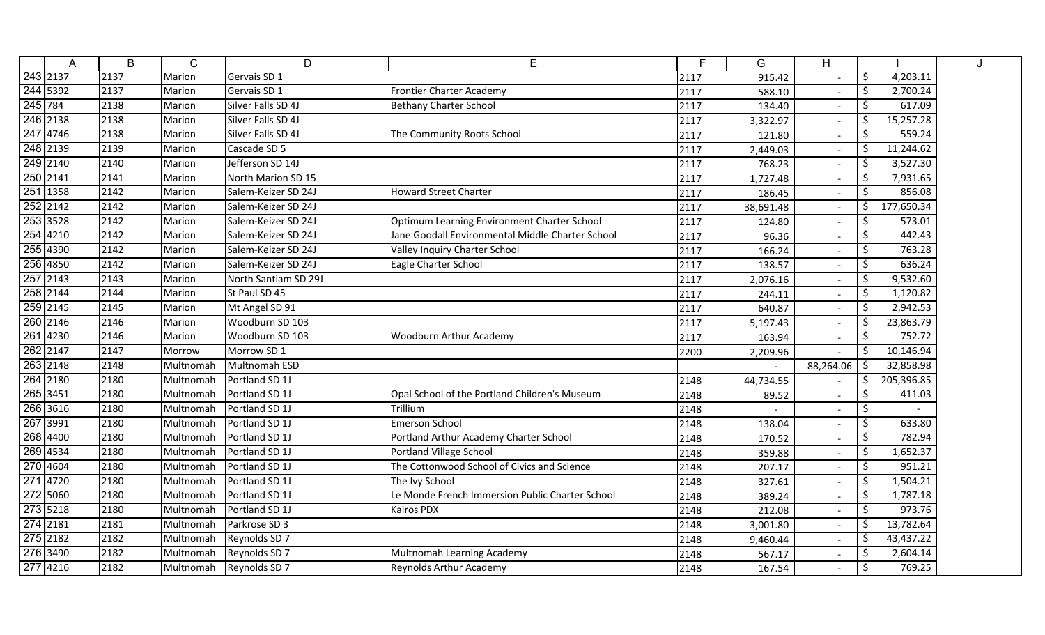|          | A        | B    | $\mathsf{C}$ | D                       | E                                                | F    | G         | H                        |                       |  |
|----------|----------|------|--------------|-------------------------|--------------------------------------------------|------|-----------|--------------------------|-----------------------|--|
|          | 243 2137 | 2137 | Marion       | Gervais SD 1            |                                                  | 2117 | 915.42    |                          | \$<br>4,203.11        |  |
|          | 244 5392 | 2137 | Marion       | Gervais SD 1            | Frontier Charter Academy                         | 2117 | 588.10    |                          | $\zeta$<br>2,700.24   |  |
| 245 784  |          | 2138 | Marion       | Silver Falls SD 4J      | <b>Bethany Charter School</b>                    | 2117 | 134.40    |                          | \$<br>617.09          |  |
|          | 246 2138 | 2138 | Marion       | Silver Falls SD 4J      |                                                  | 2117 | 3,322.97  | $\overline{\phantom{a}}$ | \$<br>15,257.28       |  |
|          | 247 4746 | 2138 | Marion       | Silver Falls SD 4J      | The Community Roots School                       | 2117 | 121.80    |                          | 559.24<br>\$          |  |
|          | 248 2139 | 2139 | Marion       | Cascade SD 5            |                                                  | 2117 | 2,449.03  |                          | \$<br>11,244.62       |  |
| 249 2140 |          | 2140 | Marion       | Jefferson SD 14J        |                                                  | 2117 | 768.23    |                          | 3,527.30<br>\$        |  |
| 250 2141 |          | 2141 | Marion       | North Marion SD 15      |                                                  | 2117 | 1,727.48  |                          | \$<br>7,931.65        |  |
|          | 251 1358 | 2142 | Marion       | Salem-Keizer SD 24J     | <b>Howard Street Charter</b>                     | 2117 | 186.45    |                          | \$<br>856.08          |  |
|          | 252 2142 | 2142 | Marion       | Salem-Keizer SD 24J     |                                                  | 2117 | 38,691.48 |                          | $\zeta$<br>177,650.34 |  |
| 253 3528 |          | 2142 | Marion       | Salem-Keizer SD 24J     | Optimum Learning Environment Charter School      | 2117 | 124.80    |                          | \$<br>573.01          |  |
|          | 254 4210 | 2142 | Marion       | Salem-Keizer SD 24J     | Jane Goodall Environmental Middle Charter School | 2117 | 96.36     |                          | \$<br>442.43          |  |
|          | 255 4390 | 2142 | Marion       | Salem-Keizer SD 24J     | Valley Inquiry Charter School                    | 2117 | 166.24    |                          | \$<br>763.28          |  |
| 256 4850 |          | 2142 | Marion       | Salem-Keizer SD 24J     | Eagle Charter School                             | 2117 | 138.57    |                          | \$<br>636.24          |  |
|          | 257 2143 | 2143 | Marion       | North Santiam SD 29J    |                                                  | 2117 | 2,076.16  |                          | \$<br>9,532.60        |  |
|          | 258 2144 | 2144 | Marion       | St Paul SD 45           |                                                  | 2117 | 244.11    |                          | \$<br>1,120.82        |  |
|          | 259 2145 | 2145 | Marion       | Mt Angel SD 91          |                                                  | 2117 | 640.87    |                          | \$<br>2,942.53        |  |
|          | 260 2146 | 2146 | Marion       | Woodburn SD 103         |                                                  | 2117 | 5,197.43  |                          | \$<br>23,863.79       |  |
|          | 261 4230 | 2146 | Marion       | Woodburn SD 103         | <b>Woodburn Arthur Academy</b>                   | 2117 | 163.94    | $\overline{\phantom{a}}$ | \$<br>752.72          |  |
|          | 262 2147 | 2147 | Morrow       | Morrow SD 1             |                                                  | 2200 | 2,209.96  |                          | Ś.<br>10,146.94       |  |
| 263 2148 |          | 2148 | Multnomah    | Multnomah ESD           |                                                  |      |           | 88,264.06                | 32,858.98<br>\$       |  |
|          | 264 2180 | 2180 | Multnomah    | Portland SD 1J          |                                                  | 2148 | 44,734.55 |                          | \$<br>205,396.85      |  |
|          | 265 3451 | 2180 | Multnomah    | Portland SD 1J          | Opal School of the Portland Children's Museum    | 2148 | 89.52     |                          | \$<br>411.03          |  |
|          | 266 3616 | 2180 | Multnomah    | Portland SD 1J          | Trillium                                         | 2148 |           |                          | \$                    |  |
|          | 267 3991 | 2180 | Multnomah    | Portland SD 1J          | <b>Emerson School</b>                            | 2148 | 138.04    | $\sim$                   | \$<br>633.80          |  |
|          | 268 4400 | 2180 | Multnomah    | Portland SD 1J          | Portland Arthur Academy Charter School           | 2148 | 170.52    |                          | \$<br>782.94          |  |
|          | 269 4534 | 2180 | Multnomah    | Portland SD 1J          | Portland Village School                          | 2148 | 359.88    | $\sim$                   | \$<br>1,652.37        |  |
|          | 270 4604 | 2180 | Multnomah    | Portland SD 1J          | The Cottonwood School of Civics and Science      | 2148 | 207.17    |                          | \$<br>951.21          |  |
|          | 271 4720 | 2180 | Multnomah    | Portland SD 1J          | The Ivy School                                   | 2148 | 327.61    |                          | 1,504.21<br>\$        |  |
|          | 272 5060 | 2180 | Multnomah    | Portland SD 1J          | Le Monde French Immersion Public Charter School  | 2148 | 389.24    |                          | \$<br>1,787.18        |  |
|          | 273 5218 | 2180 | Multnomah    | Portland SD 1J          | Kairos PDX                                       | 2148 | 212.08    |                          | \$<br>973.76          |  |
|          | 274 2181 | 2181 | Multnomah    | Parkrose SD 3           |                                                  | 2148 | 3,001.80  |                          | \$<br>13,782.64       |  |
| 275 2182 |          | 2182 | Multnomah    | Reynolds SD 7           |                                                  | 2148 | 9,460.44  |                          | 43,437.22<br>\$       |  |
|          | 276 3490 | 2182 | Multnomah    | Reynolds SD 7           | Multnomah Learning Academy                       | 2148 | 567.17    |                          | \$<br>2,604.14        |  |
| 277 4216 |          | 2182 |              | Multnomah Reynolds SD 7 | Reynolds Arthur Academy                          | 2148 | 167.54    |                          | \$<br>769.25          |  |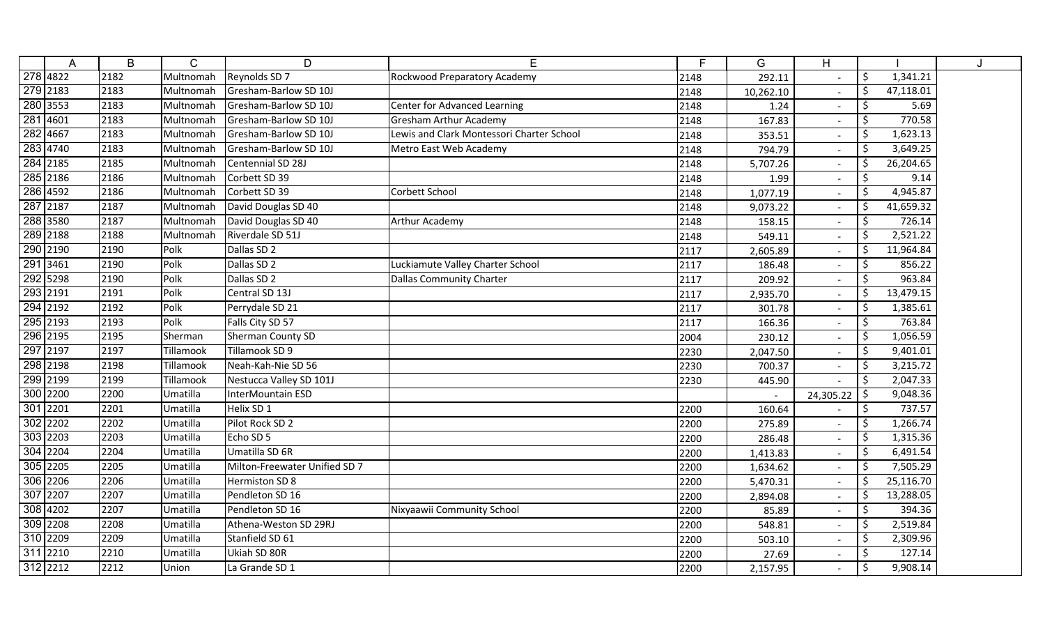| A        | B    | $\mathsf{C}$ | D                             | E                                         | E    | G         | H                        |               |           |  |
|----------|------|--------------|-------------------------------|-------------------------------------------|------|-----------|--------------------------|---------------|-----------|--|
| 278 4822 | 2182 | Multnomah    | Reynolds SD 7                 | Rockwood Preparatory Academy              | 2148 | 292.11    |                          | \$            | 1,341.21  |  |
| 279 2183 | 2183 | Multnomah    | Gresham-Barlow SD 10J         |                                           | 2148 | 10,262.10 |                          | \$            | 47,118.01 |  |
| 280 3553 | 2183 | Multnomah    | Gresham-Barlow SD 10J         | Center for Advanced Learning              | 2148 | 1.24      |                          | \$            | 5.69      |  |
| 281 4601 | 2183 | Multnomah    | Gresham-Barlow SD 10J         | <b>Gresham Arthur Academy</b>             | 2148 | 167.83    | $\overline{\phantom{a}}$ | \$            | 770.58    |  |
| 282 4667 | 2183 | Multnomah    | Gresham-Barlow SD 10J         | Lewis and Clark Montessori Charter School | 2148 | 353.51    | $\overline{\phantom{a}}$ | Ś.            | 1,623.13  |  |
| 283 4740 | 2183 | Multnomah    | Gresham-Barlow SD 10J         | Metro East Web Academy                    | 2148 | 794.79    | $\overline{\phantom{a}}$ | \$            | 3,649.25  |  |
| 284 2185 | 2185 | Multnomah    | Centennial SD 28J             |                                           | 2148 | 5,707.26  | $\overline{a}$           | \$            | 26,204.65 |  |
| 285 2186 | 2186 | Multnomah    | Corbett SD 39                 |                                           | 2148 | 1.99      |                          | \$            | 9.14      |  |
| 286 4592 | 2186 | Multnomah    | Corbett SD 39                 | Corbett School                            | 2148 | 1,077.19  | $\sim$                   | Ś.            | 4,945.87  |  |
| 287 2187 | 2187 | Multnomah    | David Douglas SD 40           |                                           | 2148 | 9,073.22  | $\sim$                   | \$            | 41,659.32 |  |
| 288 3580 | 2187 | Multnomah    | David Douglas SD 40           | <b>Arthur Academy</b>                     | 2148 | 158.15    | $\overline{\phantom{a}}$ | \$            | 726.14    |  |
| 289 2188 | 2188 | Multnomah    | Riverdale SD 51J              |                                           | 2148 | 549.11    | $\overline{\phantom{a}}$ | Ŝ.            | 2,521.22  |  |
| 290 2190 | 2190 | Polk         | Dallas SD 2                   |                                           | 2117 | 2,605.89  |                          | \$            | 11,964.84 |  |
| 291 3461 | 2190 | Polk         | Dallas SD 2                   | Luckiamute Valley Charter School          | 2117 | 186.48    |                          | \$            | 856.22    |  |
| 292 5298 | 2190 | Polk         | Dallas SD 2                   | <b>Dallas Community Charter</b>           | 2117 | 209.92    |                          | <sup>\$</sup> | 963.84    |  |
| 293 2191 | 2191 | Polk         | Central SD 13J                |                                           | 2117 | 2,935.70  |                          | \$            | 13,479.15 |  |
| 294 2192 | 2192 | Polk         | Perrydale SD 21               |                                           | 2117 | 301.78    |                          | \$            | 1,385.61  |  |
| 295 2193 | 2193 | Polk         | Falls City SD 57              |                                           | 2117 | 166.36    | $\overline{\phantom{a}}$ | \$            | 763.84    |  |
| 296 2195 | 2195 | Sherman      | <b>Sherman County SD</b>      |                                           | 2004 | 230.12    | $\overline{\phantom{a}}$ | \$            | 1,056.59  |  |
| 297 2197 | 2197 | Tillamook    | Tillamook SD 9                |                                           | 2230 | 2,047.50  |                          | \$            | 9,401.01  |  |
| 298 2198 | 2198 | Tillamook    | Neah-Kah-Nie SD 56            |                                           | 2230 | 700.37    | $\overline{\phantom{a}}$ | \$            | 3,215.72  |  |
| 299 2199 | 2199 | Tillamook    | Nestucca Valley SD 101J       |                                           | 2230 | 445.90    |                          | $\zeta$       | 2,047.33  |  |
| 300 2200 | 2200 | Umatilla     | InterMountain ESD             |                                           |      |           | 24,305.22                | \$            | 9,048.36  |  |
| 301 2201 | 2201 | Umatilla     | Helix SD 1                    |                                           | 2200 | 160.64    | $\sim$                   | \$            | 737.57    |  |
| 302 2202 | 2202 | Umatilla     | Pilot Rock SD 2               |                                           | 2200 | 275.89    | $\sim$                   | \$            | 1,266.74  |  |
| 303 2203 | 2203 | Umatilla     | Echo SD 5                     |                                           | 2200 | 286.48    | $\overline{\phantom{a}}$ | \$            | 1,315.36  |  |
| 304 2204 | 2204 | Umatilla     | Umatilla SD 6R                |                                           | 2200 | 1,413.83  | $\sim$                   | \$            | 6,491.54  |  |
| 305 2205 | 2205 | Umatilla     | Milton-Freewater Unified SD 7 |                                           | 2200 | 1,634.62  | $\blacksquare$           | \$            | 7,505.29  |  |
| 306 2206 | 2206 | Umatilla     | Hermiston SD 8                |                                           | 2200 | 5,470.31  |                          | \$            | 25,116.70 |  |
| 307 2207 | 2207 | Umatilla     | Pendleton SD 16               |                                           | 2200 | 2,894.08  |                          | \$            | 13,288.05 |  |
| 308 4202 | 2207 | Umatilla     | Pendleton SD 16               | Nixyaawii Community School                | 2200 | 85.89     | $\sim$                   | \$            | 394.36    |  |
| 309 2208 | 2208 | Umatilla     | Athena-Weston SD 29RJ         |                                           | 2200 | 548.81    |                          | \$            | 2,519.84  |  |
| 310 2209 | 2209 | Umatilla     | Stanfield SD 61               |                                           | 2200 | 503.10    | $\overline{\phantom{a}}$ | \$            | 2,309.96  |  |
| 311 2210 | 2210 | Umatilla     | Ukiah SD 80R                  |                                           | 2200 | 27.69     |                          | \$            | 127.14    |  |
| 312 2212 | 2212 | Union        | La Grande SD 1                |                                           | 2200 | 2,157.95  |                          | \$            | 9,908.14  |  |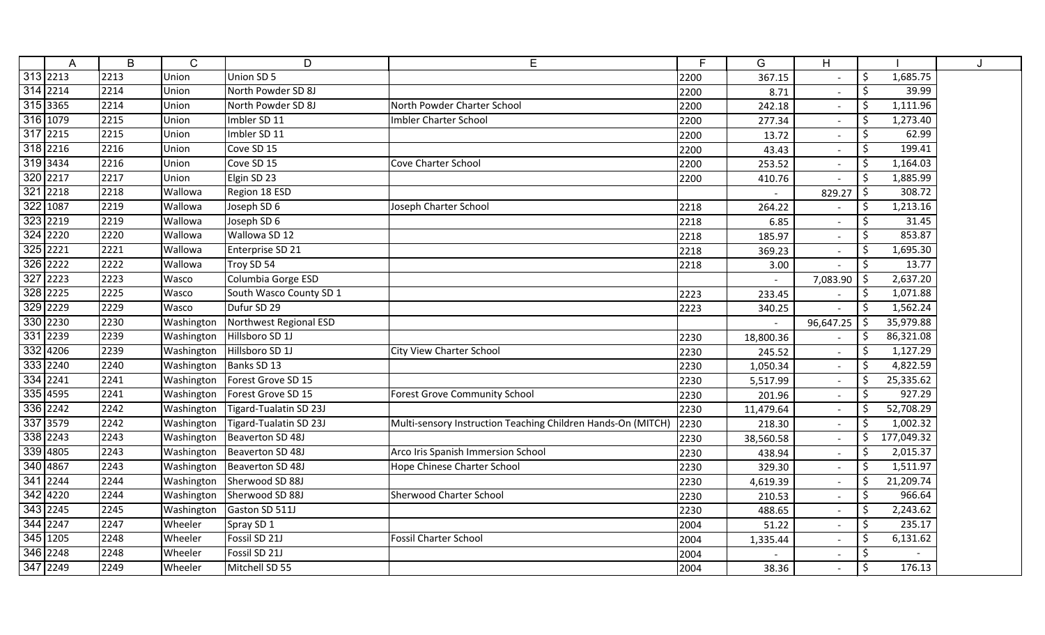| A                     | B    | Ć          | D                       | E                                                            | F    | G         | H                        |                    |            |  |
|-----------------------|------|------------|-------------------------|--------------------------------------------------------------|------|-----------|--------------------------|--------------------|------------|--|
| 313 2213              | 2213 | Union      | Union SD 5              |                                                              | 2200 | 367.15    |                          | $\zeta$            | 1,685.75   |  |
| 314 2214              | 2214 | Union      | North Powder SD 8J      |                                                              | 2200 | 8.71      |                          | $\ddot{\varsigma}$ | 39.99      |  |
| 315 3365              | 2214 | Union      | North Powder SD 8J      | North Powder Charter School                                  | 2200 | 242.18    | $\overline{\phantom{a}}$ | $\ddot{\phi}$      | 1,111.96   |  |
| 316 1079              | 2215 | Union      | Imbler SD 11            | <b>Imbler Charter School</b>                                 | 2200 | 277.34    | $\overline{\phantom{a}}$ | \$                 | 1,273.40   |  |
| 317 2215              | 2215 | Union      | Imbler SD 11            |                                                              | 2200 | 13.72     | $\overline{\phantom{a}}$ | \$                 | 62.99      |  |
| $318$ <sub>2216</sub> | 2216 | Union      | Cove SD 15              |                                                              | 2200 | 43.43     | $\overline{\phantom{a}}$ | \$                 | 199.41     |  |
| 319 3434              | 2216 | Union      | Cove SD 15              | Cove Charter School                                          | 2200 | 253.52    | $\overline{\phantom{a}}$ | \$                 | 1,164.03   |  |
| 320 2217              | 2217 | Union      | Elgin SD 23             |                                                              | 2200 | 410.76    |                          | $\zeta$            | 1,885.99   |  |
| 321 2218              | 2218 | Wallowa    | Region 18 ESD           |                                                              |      |           | 829.27                   | \$                 | 308.72     |  |
| 322 1087              | 2219 | Wallowa    | Joseph SD 6             | Joseph Charter School                                        | 2218 | 264.22    |                          | $\ddot{\phi}$      | 1,213.16   |  |
| 323 2219              | 2219 | Wallowa    | Joseph SD 6             |                                                              | 2218 | 6.85      | $\blacksquare$           | \$                 | 31.45      |  |
| 324 2220              | 2220 | Wallowa    | Wallowa SD 12           |                                                              | 2218 | 185.97    | $\sim$                   | \$                 | 853.87     |  |
| 325 2221              | 2221 | Wallowa    | Enterprise SD 21        |                                                              | 2218 | 369.23    | $\overline{\phantom{a}}$ | \$                 | 1,695.30   |  |
| 326 2222              | 2222 | Wallowa    | Troy SD 54              |                                                              | 2218 | 3.00      |                          | \$                 | 13.77      |  |
| 327 2223              | 2223 | Wasco      | Columbia Gorge ESD      |                                                              |      |           | 7,083.90                 | -\$                | 2,637.20   |  |
| 328 2225              | 2225 | Wasco      | South Wasco County SD 1 |                                                              | 2223 | 233.45    |                          | \$                 | 1,071.88   |  |
| 329 2229              | 2229 | Wasco      | Dufur SD 29             |                                                              | 2223 | 340.25    |                          | \$                 | 1,562.24   |  |
| 330 2230              | 2230 | Washington | Northwest Regional ESD  |                                                              |      |           | 96,647.25                | \$                 | 35,979.88  |  |
| 331 2239              | 2239 | Washington | Hillsboro SD 1J         |                                                              | 2230 | 18,800.36 | $\overline{\phantom{a}}$ | \$                 | 86,321.08  |  |
| 332 4206              | 2239 | Washington | Hillsboro SD 1J         | City View Charter School                                     | 2230 | 245.52    | $\overline{\phantom{a}}$ | \$                 | 1,127.29   |  |
| 333 2240              | 2240 | Washington | Banks SD 13             |                                                              | 2230 | 1,050.34  | $\mathbf{L}$             | $\zeta$            | 4,822.59   |  |
| $334$ 2241            | 2241 | Washington | Forest Grove SD 15      |                                                              | 2230 | 5,517.99  | $\blacksquare$           | \$                 | 25,335.62  |  |
| 335 4595              | 2241 | Washington | Forest Grove SD 15      | <b>Forest Grove Community School</b>                         | 2230 | 201.96    | $\overline{\phantom{a}}$ | $\ddot{\varsigma}$ | 927.29     |  |
| 336 2242              | 2242 | Washington | Tigard-Tualatin SD 23J  |                                                              | 2230 | 11,479.64 | $\overline{\phantom{a}}$ | \$                 | 52,708.29  |  |
| 337 3579              | 2242 | Washington | Tigard-Tualatin SD 23J  | Multi-sensory Instruction Teaching Children Hands-On (MITCH) | 2230 | 218.30    | $\overline{\phantom{a}}$ | $\ddot{\varsigma}$ | 1,002.32   |  |
| 338 2243              | 2243 | Washington | Beaverton SD 48J        |                                                              | 2230 | 38,560.58 | $\sim$                   | $\zeta$            | 177,049.32 |  |
| 339 4805              | 2243 | Washington | Beaverton SD 48J        | Arco Iris Spanish Immersion School                           | 2230 | 438.94    | $\blacksquare$           | $\ddot{\phi}$      | 2,015.37   |  |
| 340 4867              | 2243 | Washington | Beaverton SD 48J        | <b>Hope Chinese Charter School</b>                           | 2230 | 329.30    | $\overline{\phantom{a}}$ | $\ddot{\varsigma}$ | 1,511.97   |  |
| 341 2244              | 2244 | Washington | Sherwood SD 88J         |                                                              | 2230 | 4,619.39  |                          | $\ddot{\varsigma}$ | 21,209.74  |  |
| 342 4220              | 2244 | Washington | Sherwood SD 88J         | <b>Sherwood Charter School</b>                               | 2230 | 210.53    | $\overline{\phantom{a}}$ | \$                 | 966.64     |  |
| 343 2245              | 2245 | Washington | Gaston SD 511J          |                                                              | 2230 | 488.65    | $\overline{\phantom{a}}$ | \$                 | 2,243.62   |  |
| 344 2247              | 2247 | Wheeler    | Spray SD 1              |                                                              | 2004 | 51.22     | $\overline{\phantom{a}}$ | \$                 | 235.17     |  |
| 345 1205              | 2248 | Wheeler    | Fossil SD 21J           | <b>Fossil Charter School</b>                                 | 2004 | 1,335.44  | $\overline{\phantom{a}}$ | \$                 | 6,131.62   |  |
| 346 2248              | 2248 | Wheeler    | Fossil SD 21J           |                                                              | 2004 |           | $\overline{\phantom{a}}$ | \$                 |            |  |
| 347 2249              | 2249 | Wheeler    | Mitchell SD 55          |                                                              | 2004 | 38.36     |                          | $\ddot{\varsigma}$ | 176.13     |  |